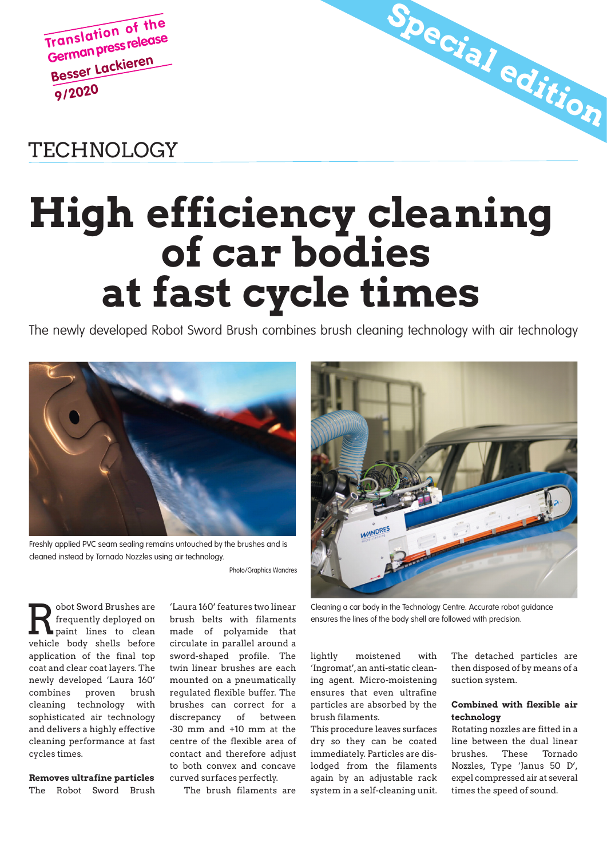**Translation of the German press release Besser Lackieren 9/2020**

## TECHNOLOGY

## High efficiency cleaning of car bodies at fast cycle times

The newly developed Robot Sword Brush combines brush cleaning technology with air technology



Freshly applied PVC seam sealing remains untouched by the brushes and is cleaned instead by Tornado Nozzles using air technology.

Photo/Graphics Wandres

The Cleaning a car body in the Technology Centre. Accurate robot guidance<br>
requently deployed on brush belts with filaments<br>
paint lines to clean made of polyamide that<br>
ensures the lines of the body shell are followed wit obot Sword Brushes are frequently deployed on paint lines to clean vehicle body shells before application of the final top coat and clear coat layers. The newly developed 'Laura 160' combines proven brush cleaning technology with sophisticated air technology and delivers a highly effective cleaning performance at fast cycles times.

Removes ultrafine particles The Robot Sword Brush

'Laura 160' features two linear brush belts with filaments made of polyamide that circulate in parallel around a sword-shaped profile. The twin linear brushes are each mounted on a pneumatically regulated flexible buffer. The brushes can correct for a discrepancy of between -30 mm and +10 mm at the centre of the flexible area of contact and therefore adjust to both convex and concave curved surfaces perfectly.

The brush filaments are



Special edition

lightly moistened with 'Ingromat', an anti-static cleaning agent. Micro-moistening ensures that even ultrafine particles are absorbed by the brush filaments.

This procedure leaves surfaces dry so they can be coated immediately. Particles are dislodged from the filaments again by an adjustable rack system in a self-cleaning unit. The detached particles are then disposed of by means of a suction system.

## Combined with flexible air technology

Rotating nozzles are fitted in a line between the dual linear brushes. These Tornado Nozzles, Type 'Janus 50 D', expel compressed air at several times the speed of sound.